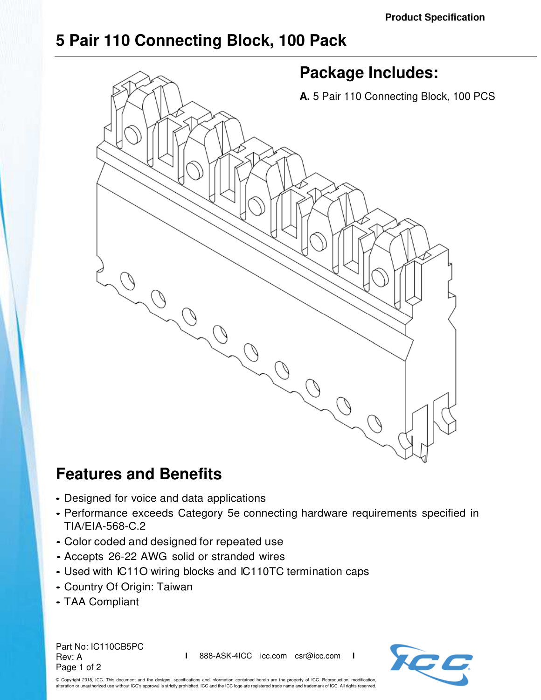## **5 Pair 110 Connecting Block, 100 Pack**



## **Features and Benefits**

- Designed for voice and data applications
- Performance exceeds Category 5e connecting hardware requirements specified in TIA/EIA-568-C.2
- Color coded and designed for repeated use
- Accepts 26-22 AWG solid or stranded wires
- Used with IC11O wiring blocks and IC110TC termination caps
- Country Of Origin: Taiwan
- TAA Compliant

Part No: IC110CB5PC Rev: A Page 1 of 2

**I** 888-ASK-4ICC icc.com csr@icc.com **I**



© Copyright 2018, ICC. This document and the designs, specifications and information contained herein are the property of ICC. Reproduction, modification, alteration or unauthorized use without ICC's approval is strictly prohibited. ICC and the ICC logo are registered trade name and trademark of ICC. All rights reserved.